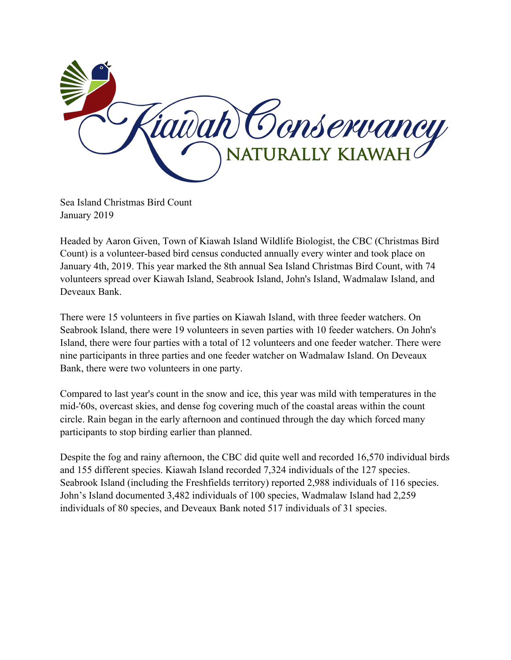

Sea Island Christmas Bird Count January 2019

Headed by Aaron Given, Town of Kiawah Island Wildlife Biologist, the CBC (Christmas Bird Count) is a volunteer-based bird census conducted annually every winter and took place on January 4th, 2019. This year marked the 8th annual Sea Island Christmas Bird Count, with 74 volunteers spread over Kiawah Island, Seabrook Island, John's Island, Wadmalaw Island, and Deveaux Bank.

There were 15 volunteers in five parties on Kiawah Island, with three feeder watchers. On Seabrook Island, there were 19 volunteers in seven parties with 10 feeder watchers. On John's Island, there were four parties with a total of 12 volunteers and one feeder watcher. There were nine participants in three parties and one feeder watcher on Wadmalaw Island. On Deveaux Bank, there were two volunteers in one party.

Compared to last year's count in the snow and ice, this year was mild with temperatures in the mid-'60s, overcast skies, and dense fog covering much of the coastal areas within the count circle. Rain began in the early afternoon and continued through the day which forced many participants to stop birding earlier than planned.

Despite the fog and rainy afternoon, the CBC did quite well and recorded 16,570 individual birds and 155 different species. Kiawah Island recorded 7,324 individuals of the 127 species. Seabrook Island (including the Freshfields territory) reported 2,988 individuals of 116 species. John's Island documented 3,482 individuals of 100 species, Wadmalaw Island had 2,259 individuals of 80 species, and Deveaux Bank noted 517 individuals of 31 species.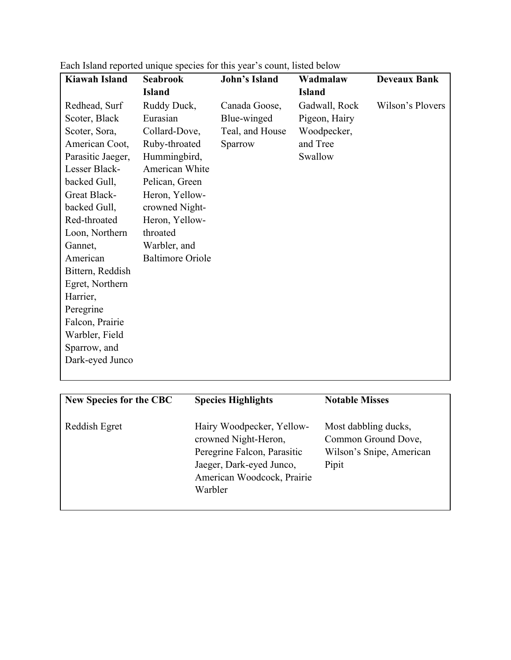| <b>Kiawah Island</b> | <b>Seabrook</b>         | <b>John's Island</b> | Wadmalaw      | <b>Deveaux Bank</b> |
|----------------------|-------------------------|----------------------|---------------|---------------------|
|                      | <b>Island</b>           |                      | <b>Island</b> |                     |
| Redhead, Surf        | Ruddy Duck,             | Canada Goose,        | Gadwall, Rock | Wilson's Plovers    |
| Scoter, Black        | Eurasian                | Blue-winged          | Pigeon, Hairy |                     |
| Scoter, Sora,        | Collard-Dove,           | Teal, and House      | Woodpecker,   |                     |
| American Coot,       | Ruby-throated           | Sparrow              | and Tree      |                     |
| Parasitic Jaeger,    | Hummingbird,            |                      | Swallow       |                     |
| Lesser Black-        | American White          |                      |               |                     |
| backed Gull,         | Pelican, Green          |                      |               |                     |
| Great Black-         | Heron, Yellow-          |                      |               |                     |
| backed Gull,         | crowned Night-          |                      |               |                     |
| Red-throated         | Heron, Yellow-          |                      |               |                     |
| Loon, Northern       | throated                |                      |               |                     |
| Gannet,              | Warbler, and            |                      |               |                     |
| American             | <b>Baltimore Oriole</b> |                      |               |                     |
| Bittern, Reddish     |                         |                      |               |                     |
| Egret, Northern      |                         |                      |               |                     |
| Harrier,             |                         |                      |               |                     |
| Peregrine            |                         |                      |               |                     |
| Falcon, Prairie      |                         |                      |               |                     |
| Warbler, Field       |                         |                      |               |                     |
| Sparrow, and         |                         |                      |               |                     |
| Dark-eyed Junco      |                         |                      |               |                     |
|                      |                         |                      |               |                     |

Each Island reported unique species for this year's count, listed below

| <b>New Species for the CBC</b> | <b>Species Highlights</b>                                                                                                                             | <b>Notable Misses</b>                                                            |
|--------------------------------|-------------------------------------------------------------------------------------------------------------------------------------------------------|----------------------------------------------------------------------------------|
| Reddish Egret                  | Hairy Woodpecker, Yellow-<br>crowned Night-Heron,<br>Peregrine Falcon, Parasitic<br>Jaeger, Dark-eyed Junco,<br>American Woodcock, Prairie<br>Warbler | Most dabbling ducks,<br>Common Ground Dove,<br>Wilson's Snipe, American<br>Pipit |